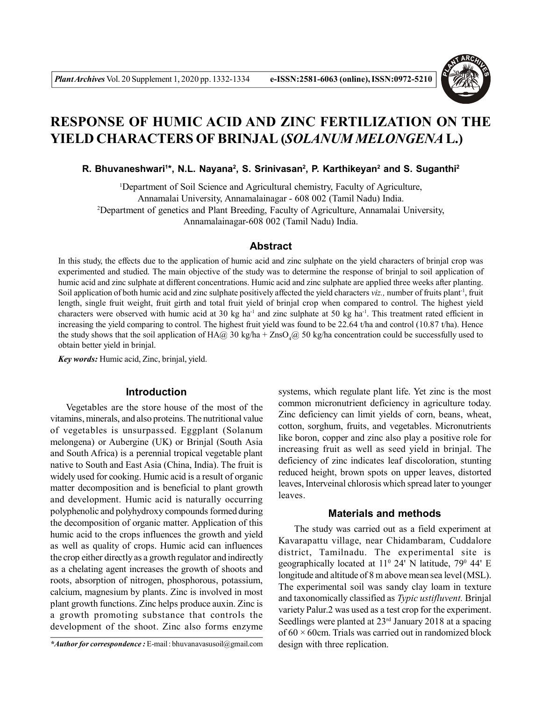

# **RESPONSE OF HUMIC ACID AND ZINC FERTILIZATION ON THE YIELD CHARACTERS OF BRINJAL (***SOLANUM MELONGENA* **L.)**

**R. Bhuvaneshwari<sup>1</sup> \*, N.L. Nayana<sup>2</sup> , S. Srinivasan<sup>2</sup> , P. Karthikeyan<sup>2</sup> and S. Suganthi<sup>2</sup>**

<sup>1</sup>Department of Soil Science and Agricultural chemistry, Faculty of Agriculture, Annamalai University, Annamalainagar - 608 002 (Tamil Nadu) India. <sup>2</sup>Department of genetics and Plant Breeding, Faculty of Agriculture, Annamalai University, Annamalainagar-608 002 (Tamil Nadu) India.

## **Abstract**

In this study, the effects due to the application of humic acid and zinc sulphate on the yield characters of brinjal crop was experimented and studied. The main objective of the study was to determine the response of brinjal to soil application of humic acid and zinc sulphate at different concentrations. Humic acid and zinc sulphate are applied three weeks after planting. Soil application of both humic acid and zinc sulphate positively affected the yield characters *viz.*, number of fruits plant<sup>1</sup>, fruit length, single fruit weight, fruit girth and total fruit yield of brinjal crop when compared to control. The highest yield characters were observed with humic acid at 30 kg ha<sup>-1</sup> and zinc sulphate at 50 kg ha<sup>-1</sup>. This treatment rated efficient in increasing the yield comparing to control. The highest fruit yield was found to be 22.64 t/ha and control (10.87 t/ha). Hence the study shows that the soil application of HA@ 30 kg/ha + ZnsO<sub>4</sub>@ 50 kg/ha concentration could be successfully used to obtain better yield in brinjal.

*Key words:* Humic acid, Zinc, brinjal, yield.

# **Introduction**

Vegetables are the store house of the most of the vitamins, minerals, and also proteins. The nutritional value of vegetables is unsurpassed. Eggplant (Solanum melongena) or Aubergine (UK) or Brinjal (South Asia and South Africa) is a perennial tropical vegetable plant native to South and East Asia (China, India). The fruit is widely used for cooking. Humic acid is a result of organic matter decomposition and is beneficial to plant growth and development. Humic acid is naturally occurring polyphenolic and polyhydroxy compounds formed during the decomposition of organic matter. Application of this humic acid to the crops influences the growth and yield as well as quality of crops. Humic acid can influences the crop either directly as a growth regulator and indirectly as a chelating agent increases the growth of shoots and roots, absorption of nitrogen, phosphorous, potassium, calcium, magnesium by plants. Zinc is involved in most plant growth functions. Zinc helps produce auxin. Zinc is a growth promoting substance that controls the development of the shoot. Zinc also forms enzyme

systems, which regulate plant life. Yet zinc is the most common micronutrient deficiency in agriculture today. Zinc deficiency can limit yields of corn, beans, wheat, cotton, sorghum, fruits, and vegetables. Micronutrients like boron, copper and zinc also play a positive role for increasing fruit as well as seed yield in brinjal. The deficiency of zinc indicates leaf discoloration, stunting reduced height, brown spots on upper leaves, distorted leaves, Interveinal chlorosis which spread later to younger leaves.

# **Materials and methods**

The study was carried out as a field experiment at Kavarapattu village, near Chidambaram, Cuddalore district, Tamilnadu. The experimental site is geographically located at 11<sup>0</sup> 24' N latitude, 79<sup>0</sup> 44' E longitude and altitude of 8 m above mean sea level (MSL). The experimental soil was sandy clay loam in texture and taxonomically classified as *Typic ustifluvent.* Brinjal variety Palur.2 was used as a test crop for the experiment. Seedlings were planted at  $23<sup>rd</sup>$  January 2018 at a spacing of  $60 \times 60$ cm. Trials was carried out in randomized block design with three replication.

*<sup>\*</sup>Author for correspondence :* E-mail : bhuvanavasusoil@gmail.com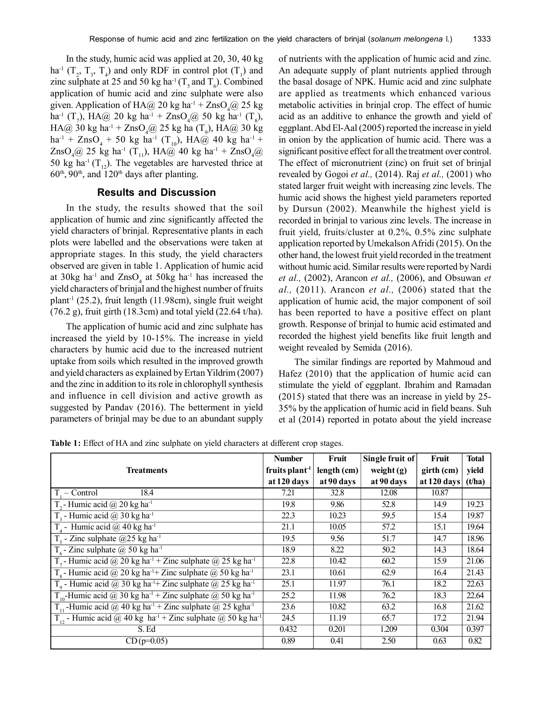In the study, humic acid was applied at 20, 30, 40 kg ha<sup>-1</sup> ( $T_2$ ,  $T_3$ ,  $T_4$ ) and only RDF in control plot ( $T_1$ ) and zinc sulphate at 25 and 50 kg ha<sup>-1</sup> ( $T_s$  and  $T_6$ ). Combined application of humic acid and zinc sulphate were also given. Application of HA@ 20 kg ha<sup>-1</sup> + ZnsO<sub>4</sub>@ 25 kg ha<sup>-1</sup> (T<sub>7</sub>), HA@ 20 kg ha<sup>-1</sup> + ZnsO<sub>4</sub>@ 50 kg ha<sup>-1</sup> (T<sub>8</sub>),  $HA@30 kg ha^{-1} + ZnSO_4@25 kg ha (T_9)$ ,  $HA@30 kg$  $ha^{-1}$  + ZnsO<sub>4</sub> + 50 kg ha<sup>-1</sup> (T<sub>10</sub>), HA@ 40 kg ha<sup>-1</sup> +  $ZnSO_4@25$  kg ha<sup>-1</sup> (T<sub>11</sub>), HA@ 40 kg ha<sup>-1</sup> + ZnsO<sub>4</sub>@ 50 kg ha<sup>-1</sup> (T<sub>12</sub>). The vegetables are harvested thrice at  $60<sup>th</sup>$ ,  $90<sup>th</sup>$ , and  $120<sup>th</sup>$  days after planting.

## **Results and Discussion**

In the study, the results showed that the soil application of humic and zinc significantly affected the yield characters of brinjal. Representative plants in each plots were labelled and the observations were taken at appropriate stages. In this study, the yield characters observed are given in table 1. Application of humic acid at  $30\text{kg}$  ha<sup>-1</sup> and  $\text{Znso}_4$  at  $50\text{kg}$  ha<sup>-1</sup> has increased the yield characters of brinjal and the highest number of fruits plant<sup>-1</sup> (25.2), fruit length (11.98cm), single fruit weight (76.2 g), fruit girth (18.3cm) and total yield (22.64 t/ha).

The application of humic acid and zinc sulphate has increased the yield by 10-15%. The increase in yield characters by humic acid due to the increased nutrient uptake from soils which resulted in the improved growth and yield characters as explained by Ertan Yildrim (2007) and the zinc in addition to its role in chlorophyll synthesis and influence in cell division and active growth as suggested by Pandav (2016). The betterment in yield parameters of brinjal may be due to an abundant supply of nutrients with the application of humic acid and zinc. An adequate supply of plant nutrients applied through the basal dosage of NPK. Humic acid and zinc sulphate are applied as treatments which enhanced various metabolic activities in brinjal crop. The effect of humic acid as an additive to enhance the growth and yield of eggplant. Abd El-Aal (2005) reported the increase in yield in onion by the application of humic acid. There was a significant positive effect for all the treatment over control. The effect of micronutrient (zinc) on fruit set of brinjal revealed by Gogoi *et al.,* (2014). Raj *et al.,* (2001) who stated larger fruit weight with increasing zinc levels. The humic acid shows the highest yield parameters reported by Dursun (2002). Meanwhile the highest yield is recorded in brinjal to various zinc levels. The increase in fruit yield, fruits/cluster at 0.2%, 0.5% zinc sulphate application reported by Umekalson Afridi (2015). On the other hand, the lowest fruit yield recorded in the treatment without humic acid. Similar results were reported by Nardi *et al.,* (2002), Arancon *et al.,* (2006), and Obsuwan *et al.,* (2011). Arancon *et al.,* (2006) stated that the application of humic acid, the major component of soil has been reported to have a positive effect on plant growth. Response of brinjal to humic acid estimated and recorded the highest yield benefits like fruit length and weight revealed by Semida (2016).

The similar findings are reported by Mahmoud and Hafez (2010) that the application of humic acid can stimulate the yield of eggplant. Ibrahim and Ramadan (2015) stated that there was an increase in yield by 25- 35% by the application of humic acid in field beans. Suh et al (2014) reported in potato about the yield increase

**Table 1:** Effect of HA and zinc sulphate on yield characters at different crop stages.

|                                                                                               | <b>Number</b>              | Fruit       | Single fruit of | Fruit       | <b>Total</b> |
|-----------------------------------------------------------------------------------------------|----------------------------|-------------|-----------------|-------------|--------------|
| <b>Treatments</b>                                                                             | fruits plant <sup>-1</sup> | length (cm) | weight $(g)$    | girth (cm)  | yield        |
|                                                                                               | at 120 days                | at 90 days  | at 90 days      | at 120 days | (t/ha)       |
| 18.4<br>$T -$ Control                                                                         | 7.21                       | 32.8        | 12.08           | 10.87       |              |
| T <sub>2</sub> - Humic acid @ 20 kg ha <sup>-1</sup>                                          | 19.8                       | 9.86        | 52.8            | 14.9        | 19.23        |
| $T_{2}$ - Humic acid @ 30 kg ha <sup>-1</sup>                                                 | 22.3                       | 10.23       | 59.5            | 15.4        | 19.87        |
| $T_{4}$ - Humic acid @ 40 kg ha <sup>-1</sup>                                                 | 21.1                       | 10.05       | 57.2            | 15.1        | 19.64        |
| T <sub>s</sub> - Zinc sulphate $@25$ kg ha <sup>-1</sup>                                      | 19.5                       | 9.56        | 51.7            | 14.7        | 18.96        |
| $T_6$ - Zinc sulphate @ 50 kg ha <sup>-1</sup>                                                | 18.9                       | 8.22        | 50.2            | 14.3        | 18.64        |
| T <sub>7</sub> - Humic acid @ 20 kg ha <sup>-1</sup> + Zinc sulphate @ 25 kg ha <sup>-1</sup> | 22.8                       | 10.42       | 60.2            | 15.9        | 21.06        |
| $T_{\rm g}$ - Humic acid @ 20 kg ha <sup>-1</sup> + Zinc sulphate @ 50 kg ha <sup>-1</sup>    | 23.1                       | 10.61       | 62.9            | 16.4        | 21.43        |
| T <sub>o</sub> - Humic acid @ 30 kg ha <sup>-1</sup> + Zinc sulphate @ 25 kg ha <sup>-1</sup> | 25.1                       | 11.97       | 76.1            | 18.2        | 22.63        |
| $T_{10}$ -Humic acid @ 30 kg ha <sup>-1</sup> + Zinc sulphate @ 50 kg ha <sup>-1</sup>        | 25.2                       | 11.98       | 76.2            | 18.3        | 22.64        |
| T <sub>11</sub> -Humic acid @ 40 kg ha <sup>-1</sup> + Zinc sulphate @ 25 kgha <sup>-1</sup>  | 23.6                       | 10.82       | 63.2            | 16.8        | 21.62        |
| $T_{12}$ - Humic acid @ 40 kg ha <sup>-1</sup> + Zinc sulphate @ 50 kg ha <sup>-1</sup>       | 24.5                       | 11.19       | 65.7            | 17.2        | 21.94        |
| S. Ed                                                                                         | 0.432                      | 0.201       | 1.209           | 0.304       | 0.397        |
| $CD(p=0.05)$                                                                                  | 0.89                       | 0.41        | 2.50            | 0.63        | 0.82         |